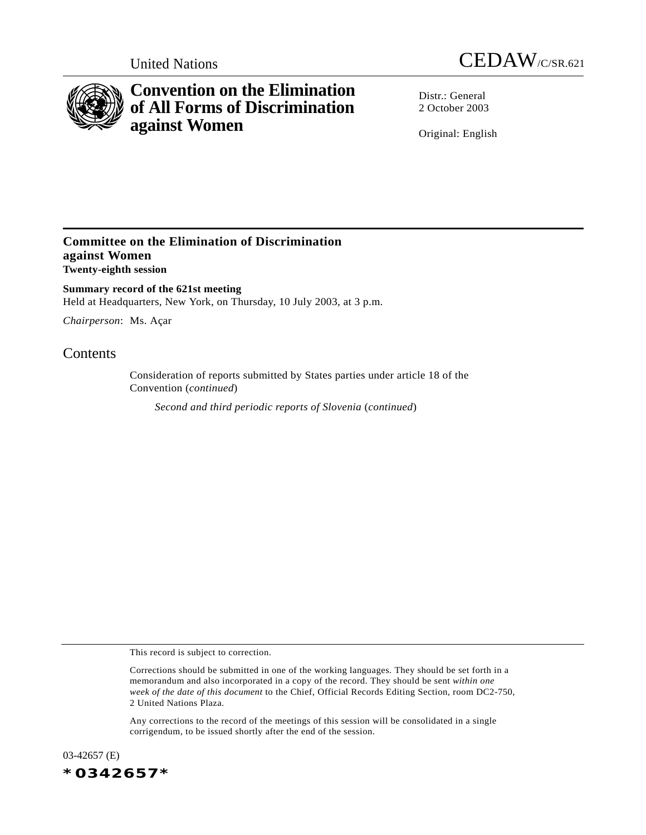



# **Convention on the Elimination of All Forms of Discrimination against Women**

Distr · General 2 October 2003

Original: English

### **Committee on the Elimination of Discrimination against Women Twenty-eighth session**

**Summary record of the 621st meeting** Held at Headquarters, New York, on Thursday, 10 July 2003, at 3 p.m.

*Chairperson*: Ms. Açar

## **Contents**

Consideration of reports submitted by States parties under article 18 of the Convention (*continued*)

*Second and third periodic reports of Slovenia* (*continued*)

This record is subject to correction.

Any corrections to the record of the meetings of this session will be consolidated in a single corrigendum, to be issued shortly after the end of the session.

03-42657 (E) *\*0342657\**

Corrections should be submitted in one of the working languages. They should be set forth in a memorandum and also incorporated in a copy of the record. They should be sent *within one week of the date of this document* to the Chief, Official Records Editing Section, room DC2-750, 2 United Nations Plaza.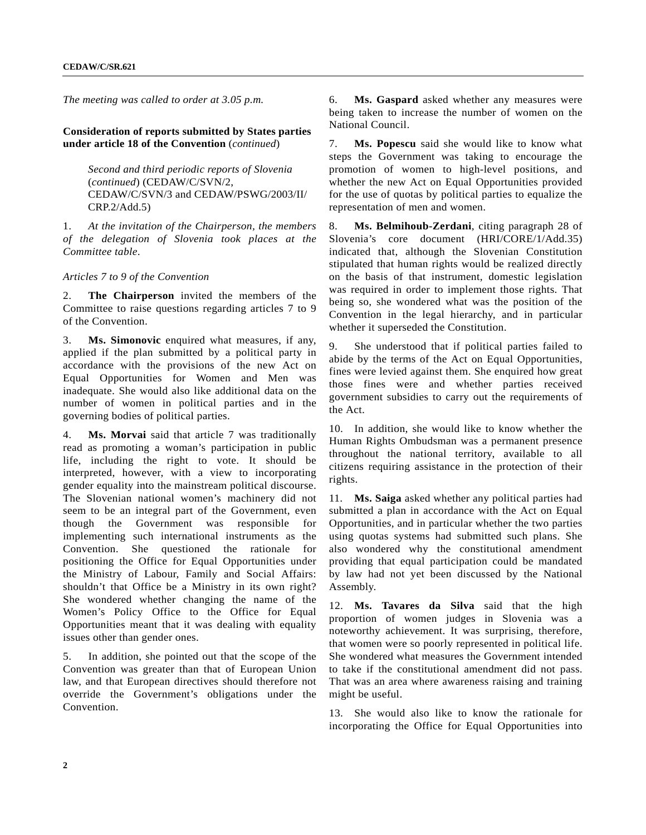*The meeting was called to order at 3.05 p.m.*

**Consideration of reports submitted by States parties under article 18 of the Convention** (*continued*)

> *Second and third periodic reports of Slovenia* (*continued*) (CEDAW/C/SVN/2, CEDAW/C/SVN/3 and CEDAW/PSWG/2003/II/ CRP.2/Add.5)

1. *At the invitation of the Chairperson, the members of the delegation of Slovenia took places at the Committee table*.

*Articles 7 to 9 of the Convention*

2. **The Chairperson** invited the members of the Committee to raise questions regarding articles 7 to 9 of the Convention.

3. **Ms. Simonovic** enquired what measures, if any, applied if the plan submitted by a political party in accordance with the provisions of the new Act on Equal Opportunities for Women and Men was inadequate. She would also like additional data on the number of women in political parties and in the governing bodies of political parties.

4. **Ms. Morvai** said that article 7 was traditionally read as promoting a woman's participation in public life, including the right to vote. It should be interpreted, however, with a view to incorporating gender equality into the mainstream political discourse. The Slovenian national women's machinery did not seem to be an integral part of the Government, even though the Government was responsible for implementing such international instruments as the Convention. She questioned the rationale for positioning the Office for Equal Opportunities under the Ministry of Labour, Family and Social Affairs: shouldn't that Office be a Ministry in its own right? She wondered whether changing the name of the Women's Policy Office to the Office for Equal Opportunities meant that it was dealing with equality issues other than gender ones.

5. In addition, she pointed out that the scope of the Convention was greater than that of European Union law, and that European directives should therefore not override the Government's obligations under the Convention.

6. **Ms. Gaspard** asked whether any measures were being taken to increase the number of women on the National Council.

7. **Ms. Popescu** said she would like to know what steps the Government was taking to encourage the promotion of women to high-level positions, and whether the new Act on Equal Opportunities provided for the use of quotas by political parties to equalize the representation of men and women.

8. **Ms. Belmihoub-Zerdani**, citing paragraph 28 of Slovenia's core document (HRI/CORE/1/Add.35) indicated that, although the Slovenian Constitution stipulated that human rights would be realized directly on the basis of that instrument, domestic legislation was required in order to implement those rights. That being so, she wondered what was the position of the Convention in the legal hierarchy, and in particular whether it superseded the Constitution.

9. She understood that if political parties failed to abide by the terms of the Act on Equal Opportunities, fines were levied against them. She enquired how great those fines were and whether parties received government subsidies to carry out the requirements of the Act.

10. In addition, she would like to know whether the Human Rights Ombudsman was a permanent presence throughout the national territory, available to all citizens requiring assistance in the protection of their rights.

11. **Ms. Saiga** asked whether any political parties had submitted a plan in accordance with the Act on Equal Opportunities, and in particular whether the two parties using quotas systems had submitted such plans. She also wondered why the constitutional amendment providing that equal participation could be mandated by law had not yet been discussed by the National Assembly.

12. **Ms. Tavares da Silva** said that the high proportion of women judges in Slovenia was a noteworthy achievement. It was surprising, therefore, that women were so poorly represented in political life. She wondered what measures the Government intended to take if the constitutional amendment did not pass. That was an area where awareness raising and training might be useful.

13. She would also like to know the rationale for incorporating the Office for Equal Opportunities into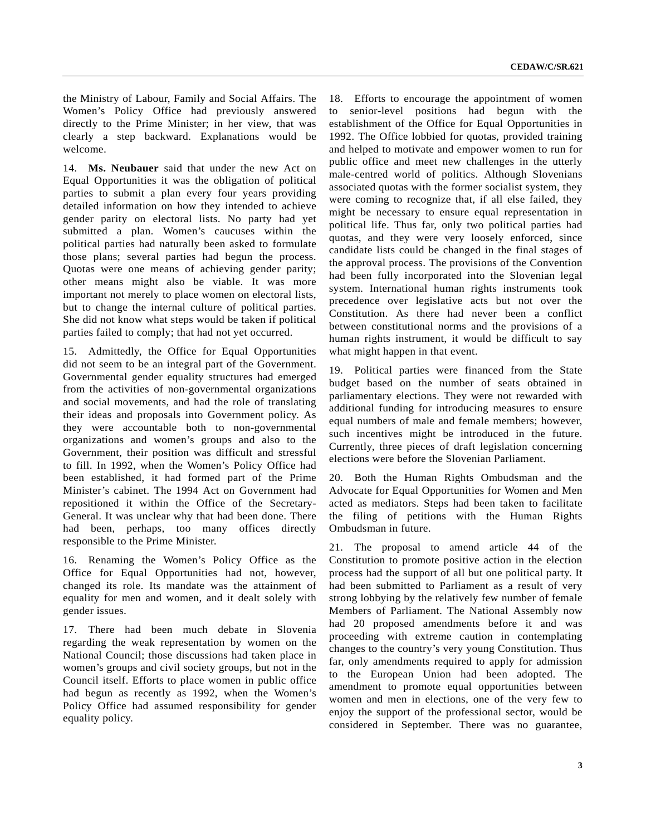the Ministry of Labour, Family and Social Affairs. The Women's Policy Office had previously answered directly to the Prime Minister; in her view, that was clearly a step backward. Explanations would be welcome.

14. **Ms. Neubauer** said that under the new Act on Equal Opportunities it was the obligation of political parties to submit a plan every four years providing detailed information on how they intended to achieve gender parity on electoral lists. No party had yet submitted a plan. Women's caucuses within the political parties had naturally been asked to formulate those plans; several parties had begun the process. Quotas were one means of achieving gender parity; other means might also be viable. It was more important not merely to place women on electoral lists, but to change the internal culture of political parties. She did not know what steps would be taken if political parties failed to comply; that had not yet occurred.

15. Admittedly, the Office for Equal Opportunities did not seem to be an integral part of the Government. Governmental gender equality structures had emerged from the activities of non-governmental organizations and social movements, and had the role of translating their ideas and proposals into Government policy. As they were accountable both to non-governmental organizations and women's groups and also to the Government, their position was difficult and stressful to fill. In 1992, when the Women's Policy Office had been established, it had formed part of the Prime Minister's cabinet. The 1994 Act on Government had repositioned it within the Office of the Secretary-General. It was unclear why that had been done. There had been, perhaps, too many offices directly responsible to the Prime Minister.

16. Renaming the Women's Policy Office as the Office for Equal Opportunities had not, however, changed its role. Its mandate was the attainment of equality for men and women, and it dealt solely with gender issues.

17. There had been much debate in Slovenia regarding the weak representation by women on the National Council; those discussions had taken place in women's groups and civil society groups, but not in the Council itself. Efforts to place women in public office had begun as recently as 1992, when the Women's Policy Office had assumed responsibility for gender equality policy.

18. Efforts to encourage the appointment of women to senior-level positions had begun with the establishment of the Office for Equal Opportunities in 1992. The Office lobbied for quotas, provided training and helped to motivate and empower women to run for public office and meet new challenges in the utterly male-centred world of politics. Although Slovenians associated quotas with the former socialist system, they were coming to recognize that, if all else failed, they might be necessary to ensure equal representation in political life. Thus far, only two political parties had quotas, and they were very loosely enforced, since candidate lists could be changed in the final stages of the approval process. The provisions of the Convention had been fully incorporated into the Slovenian legal system. International human rights instruments took precedence over legislative acts but not over the Constitution. As there had never been a conflict between constitutional norms and the provisions of a human rights instrument, it would be difficult to say what might happen in that event.

19. Political parties were financed from the State budget based on the number of seats obtained in parliamentary elections. They were not rewarded with additional funding for introducing measures to ensure equal numbers of male and female members; however, such incentives might be introduced in the future. Currently, three pieces of draft legislation concerning elections were before the Slovenian Parliament.

20. Both the Human Rights Ombudsman and the Advocate for Equal Opportunities for Women and Men acted as mediators. Steps had been taken to facilitate the filing of petitions with the Human Rights Ombudsman in future.

21. The proposal to amend article 44 of the Constitution to promote positive action in the election process had the support of all but one political party. It had been submitted to Parliament as a result of very strong lobbying by the relatively few number of female Members of Parliament. The National Assembly now had 20 proposed amendments before it and was proceeding with extreme caution in contemplating changes to the country's very young Constitution. Thus far, only amendments required to apply for admission to the European Union had been adopted. The amendment to promote equal opportunities between women and men in elections, one of the very few to enjoy the support of the professional sector, would be considered in September. There was no guarantee,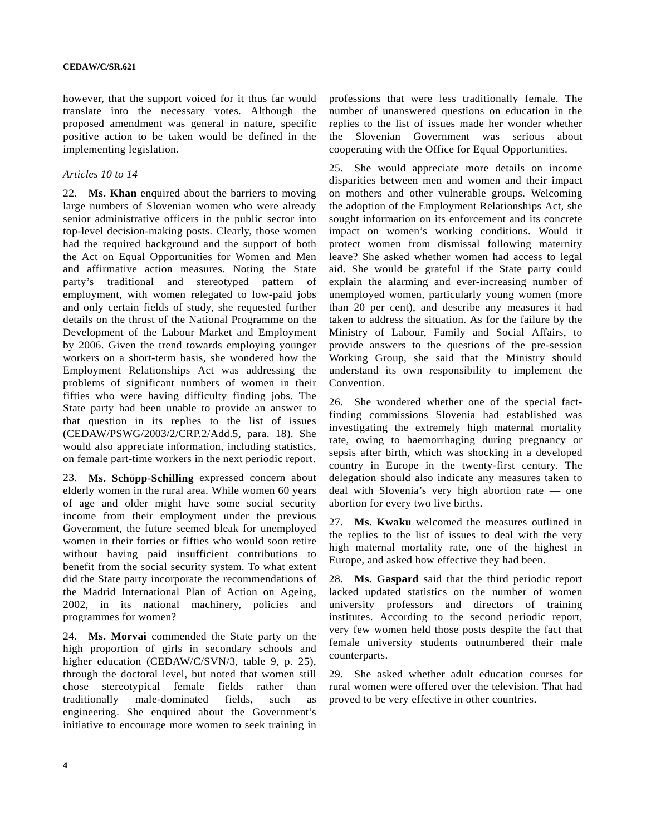however, that the support voiced for it thus far would translate into the necessary votes. Although the proposed amendment was general in nature, specific positive action to be taken would be defined in the implementing legislation.

### *Articles 10 to 14*

22. **Ms. Khan** enquired about the barriers to moving large numbers of Slovenian women who were already senior administrative officers in the public sector into top-level decision-making posts. Clearly, those women had the required background and the support of both the Act on Equal Opportunities for Women and Men and affirmative action measures. Noting the State party's traditional and stereotyped pattern of employment, with women relegated to low-paid jobs and only certain fields of study, she requested further details on the thrust of the National Programme on the Development of the Labour Market and Employment by 2006. Given the trend towards employing younger workers on a short-term basis, she wondered how the Employment Relationships Act was addressing the problems of significant numbers of women in their fifties who were having difficulty finding jobs. The State party had been unable to provide an answer to that question in its replies to the list of issues (CEDAW/PSWG/2003/2/CRP.2/Add.5, para. 18). She would also appreciate information, including statistics, on female part-time workers in the next periodic report.

23. **Ms. Schöpp-Schilling** expressed concern about elderly women in the rural area. While women 60 years of age and older might have some social security income from their employment under the previous Government, the future seemed bleak for unemployed women in their forties or fifties who would soon retire without having paid insufficient contributions to benefit from the social security system. To what extent did the State party incorporate the recommendations of the Madrid International Plan of Action on Ageing, 2002, in its national machinery, policies and programmes for women?

24. **Ms. Morvai** commended the State party on the high proportion of girls in secondary schools and higher education (CEDAW/C/SVN/3, table 9, p. 25), through the doctoral level, but noted that women still chose stereotypical female fields rather than traditionally male-dominated fields, such as engineering. She enquired about the Government's initiative to encourage more women to seek training in

professions that were less traditionally female. The number of unanswered questions on education in the replies to the list of issues made her wonder whether the Slovenian Government was serious about cooperating with the Office for Equal Opportunities.

25. She would appreciate more details on income disparities between men and women and their impact on mothers and other vulnerable groups. Welcoming the adoption of the Employment Relationships Act, she sought information on its enforcement and its concrete impact on women's working conditions. Would it protect women from dismissal following maternity leave? She asked whether women had access to legal aid. She would be grateful if the State party could explain the alarming and ever-increasing number of unemployed women, particularly young women (more than 20 per cent), and describe any measures it had taken to address the situation. As for the failure by the Ministry of Labour, Family and Social Affairs, to provide answers to the questions of the pre-session Working Group, she said that the Ministry should understand its own responsibility to implement the Convention.

26. She wondered whether one of the special factfinding commissions Slovenia had established was investigating the extremely high maternal mortality rate, owing to haemorrhaging during pregnancy or sepsis after birth, which was shocking in a developed country in Europe in the twenty-first century. The delegation should also indicate any measures taken to deal with Slovenia's very high abortion rate — one abortion for every two live births.

27. **Ms. Kwaku** welcomed the measures outlined in the replies to the list of issues to deal with the very high maternal mortality rate, one of the highest in Europe, and asked how effective they had been.

28. **Ms. Gaspard** said that the third periodic report lacked updated statistics on the number of women university professors and directors of training institutes. According to the second periodic report, very few women held those posts despite the fact that female university students outnumbered their male counterparts.

29. She asked whether adult education courses for rural women were offered over the television. That had proved to be very effective in other countries.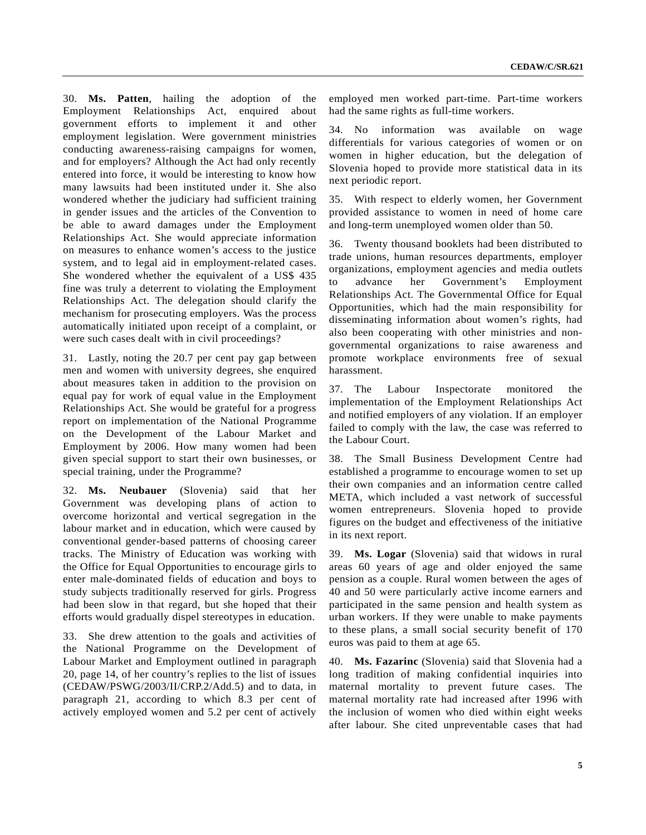30. **Ms. Patten**, hailing the adoption of the Employment Relationships Act, enquired about government efforts to implement it and other employment legislation. Were government ministries conducting awareness-raising campaigns for women, and for employers? Although the Act had only recently entered into force, it would be interesting to know how many lawsuits had been instituted under it. She also wondered whether the judiciary had sufficient training in gender issues and the articles of the Convention to be able to award damages under the Employment Relationships Act. She would appreciate information on measures to enhance women's access to the justice system, and to legal aid in employment-related cases. She wondered whether the equivalent of a US\$ 435 fine was truly a deterrent to violating the Employment Relationships Act. The delegation should clarify the mechanism for prosecuting employers. Was the process automatically initiated upon receipt of a complaint, or were such cases dealt with in civil proceedings?

31. Lastly, noting the 20.7 per cent pay gap between men and women with university degrees, she enquired about measures taken in addition to the provision on equal pay for work of equal value in the Employment Relationships Act. She would be grateful for a progress report on implementation of the National Programme on the Development of the Labour Market and Employment by 2006. How many women had been given special support to start their own businesses, or special training, under the Programme?

32. **Ms. Neubauer** (Slovenia) said that her Government was developing plans of action to overcome horizontal and vertical segregation in the labour market and in education, which were caused by conventional gender-based patterns of choosing career tracks. The Ministry of Education was working with the Office for Equal Opportunities to encourage girls to enter male-dominated fields of education and boys to study subjects traditionally reserved for girls. Progress had been slow in that regard, but she hoped that their efforts would gradually dispel stereotypes in education.

33. She drew attention to the goals and activities of the National Programme on the Development of Labour Market and Employment outlined in paragraph 20, page 14, of her country's replies to the list of issues (CEDAW/PSWG/2003/II/CRP.2/Add.5) and to data, in paragraph 21, according to which 8.3 per cent of actively employed women and 5.2 per cent of actively

employed men worked part-time. Part-time workers had the same rights as full-time workers.

34. No information was available on wage differentials for various categories of women or on women in higher education, but the delegation of Slovenia hoped to provide more statistical data in its next periodic report.

35. With respect to elderly women, her Government provided assistance to women in need of home care and long-term unemployed women older than 50.

36. Twenty thousand booklets had been distributed to trade unions, human resources departments, employer organizations, employment agencies and media outlets to advance her Government's Employment Relationships Act. The Governmental Office for Equal Opportunities, which had the main responsibility for disseminating information about women's rights, had also been cooperating with other ministries and nongovernmental organizations to raise awareness and promote workplace environments free of sexual harassment.

37. The Labour Inspectorate monitored the implementation of the Employment Relationships Act and notified employers of any violation. If an employer failed to comply with the law, the case was referred to the Labour Court.

38. The Small Business Development Centre had established a programme to encourage women to set up their own companies and an information centre called META, which included a vast network of successful women entrepreneurs. Slovenia hoped to provide figures on the budget and effectiveness of the initiative in its next report.

39. **Ms. Logar** (Slovenia) said that widows in rural areas 60 years of age and older enjoyed the same pension as a couple. Rural women between the ages of 40 and 50 were particularly active income earners and participated in the same pension and health system as urban workers. If they were unable to make payments to these plans, a small social security benefit of 170 euros was paid to them at age 65.

40. **Ms. Fazarinc** (Slovenia) said that Slovenia had a long tradition of making confidential inquiries into maternal mortality to prevent future cases. The maternal mortality rate had increased after 1996 with the inclusion of women who died within eight weeks after labour. She cited unpreventable cases that had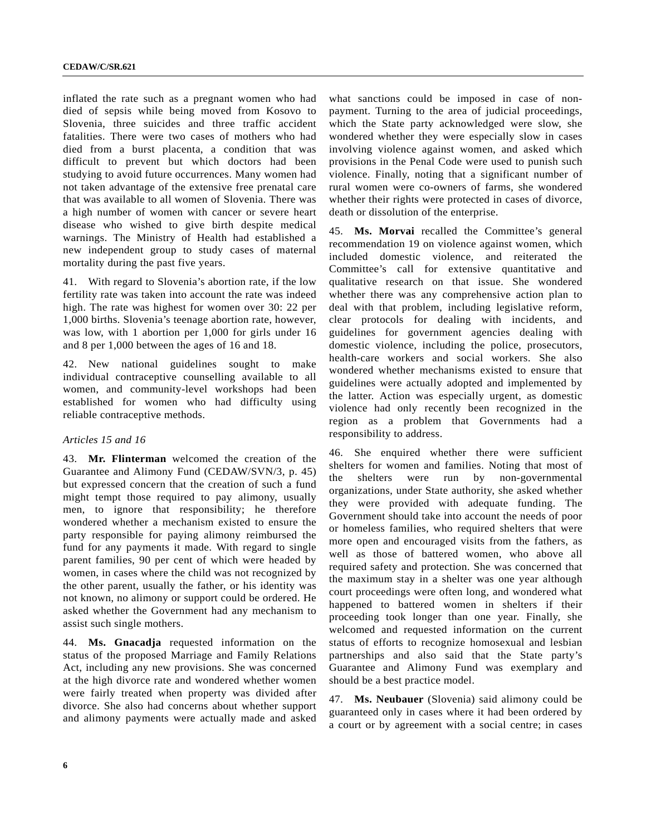inflated the rate such as a pregnant women who had died of sepsis while being moved from Kosovo to Slovenia, three suicides and three traffic accident fatalities. There were two cases of mothers who had died from a burst placenta, a condition that was difficult to prevent but which doctors had been studying to avoid future occurrences. Many women had not taken advantage of the extensive free prenatal care that was available to all women of Slovenia. There was a high number of women with cancer or severe heart disease who wished to give birth despite medical warnings. The Ministry of Health had established a new independent group to study cases of maternal mortality during the past five years.

41. With regard to Slovenia's abortion rate, if the low fertility rate was taken into account the rate was indeed high. The rate was highest for women over 30: 22 per 1,000 births. Slovenia's teenage abortion rate, however, was low, with 1 abortion per 1,000 for girls under 16 and 8 per 1,000 between the ages of 16 and 18.

42. New national guidelines sought to make individual contraceptive counselling available to all women, and community-level workshops had been established for women who had difficulty using reliable contraceptive methods.

#### *Articles 15 and 16*

43. **Mr. Flinterman** welcomed the creation of the Guarantee and Alimony Fund (CEDAW/SVN/3, p. 45) but expressed concern that the creation of such a fund might tempt those required to pay alimony, usually men, to ignore that responsibility; he therefore wondered whether a mechanism existed to ensure the party responsible for paying alimony reimbursed the fund for any payments it made. With regard to single parent families, 90 per cent of which were headed by women, in cases where the child was not recognized by the other parent, usually the father, or his identity was not known, no alimony or support could be ordered. He asked whether the Government had any mechanism to assist such single mothers.

44. **Ms. Gnacadja** requested information on the status of the proposed Marriage and Family Relations Act, including any new provisions. She was concerned at the high divorce rate and wondered whether women were fairly treated when property was divided after divorce. She also had concerns about whether support and alimony payments were actually made and asked what sanctions could be imposed in case of nonpayment. Turning to the area of judicial proceedings, which the State party acknowledged were slow, she wondered whether they were especially slow in cases involving violence against women, and asked which provisions in the Penal Code were used to punish such violence. Finally, noting that a significant number of rural women were co-owners of farms, she wondered whether their rights were protected in cases of divorce, death or dissolution of the enterprise.

45. **Ms. Morvai** recalled the Committee's general recommendation 19 on violence against women, which included domestic violence, and reiterated the Committee's call for extensive quantitative and qualitative research on that issue. She wondered whether there was any comprehensive action plan to deal with that problem, including legislative reform, clear protocols for dealing with incidents, and guidelines for government agencies dealing with domestic violence, including the police, prosecutors, health-care workers and social workers. She also wondered whether mechanisms existed to ensure that guidelines were actually adopted and implemented by the latter. Action was especially urgent, as domestic violence had only recently been recognized in the region as a problem that Governments had a responsibility to address.

46. She enquired whether there were sufficient shelters for women and families. Noting that most of the shelters were run by non-governmental organizations, under State authority, she asked whether they were provided with adequate funding. The Government should take into account the needs of poor or homeless families, who required shelters that were more open and encouraged visits from the fathers, as well as those of battered women, who above all required safety and protection. She was concerned that the maximum stay in a shelter was one year although court proceedings were often long, and wondered what happened to battered women in shelters if their proceeding took longer than one year. Finally, she welcomed and requested information on the current status of efforts to recognize homosexual and lesbian partnerships and also said that the State party's Guarantee and Alimony Fund was exemplary and should be a best practice model.

47. **Ms. Neubauer** (Slovenia) said alimony could be guaranteed only in cases where it had been ordered by a court or by agreement with a social centre; in cases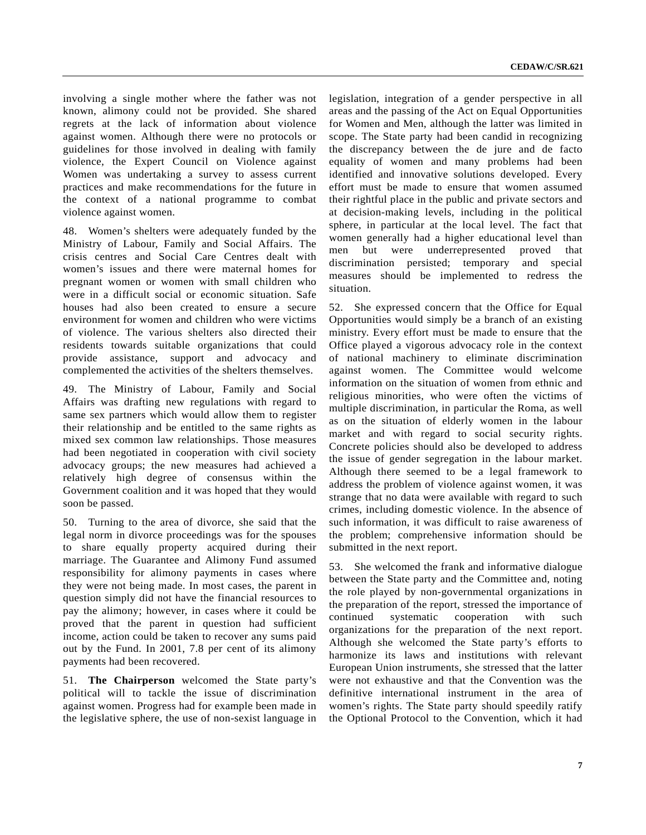involving a single mother where the father was not known, alimony could not be provided. She shared regrets at the lack of information about violence against women. Although there were no protocols or guidelines for those involved in dealing with family violence, the Expert Council on Violence against Women was undertaking a survey to assess current practices and make recommendations for the future in the context of a national programme to combat violence against women.

48. Women's shelters were adequately funded by the Ministry of Labour, Family and Social Affairs. The crisis centres and Social Care Centres dealt with women's issues and there were maternal homes for pregnant women or women with small children who were in a difficult social or economic situation. Safe houses had also been created to ensure a secure environment for women and children who were victims of violence. The various shelters also directed their residents towards suitable organizations that could provide assistance, support and advocacy and complemented the activities of the shelters themselves.

49. The Ministry of Labour, Family and Social Affairs was drafting new regulations with regard to same sex partners which would allow them to register their relationship and be entitled to the same rights as mixed sex common law relationships. Those measures had been negotiated in cooperation with civil society advocacy groups; the new measures had achieved a relatively high degree of consensus within the Government coalition and it was hoped that they would soon be passed.

50. Turning to the area of divorce, she said that the legal norm in divorce proceedings was for the spouses to share equally property acquired during their marriage. The Guarantee and Alimony Fund assumed responsibility for alimony payments in cases where they were not being made. In most cases, the parent in question simply did not have the financial resources to pay the alimony; however, in cases where it could be proved that the parent in question had sufficient income, action could be taken to recover any sums paid out by the Fund. In 2001, 7.8 per cent of its alimony payments had been recovered.

51. **The Chairperson** welcomed the State party's political will to tackle the issue of discrimination against women. Progress had for example been made in the legislative sphere, the use of non-sexist language in legislation, integration of a gender perspective in all areas and the passing of the Act on Equal Opportunities for Women and Men, although the latter was limited in scope. The State party had been candid in recognizing the discrepancy between the de jure and de facto equality of women and many problems had been identified and innovative solutions developed. Every effort must be made to ensure that women assumed their rightful place in the public and private sectors and at decision-making levels, including in the political sphere, in particular at the local level. The fact that women generally had a higher educational level than men but were underrepresented proved that discrimination persisted; temporary and special measures should be implemented to redress the situation.

52. She expressed concern that the Office for Equal Opportunities would simply be a branch of an existing ministry. Every effort must be made to ensure that the Office played a vigorous advocacy role in the context of national machinery to eliminate discrimination against women. The Committee would welcome information on the situation of women from ethnic and religious minorities, who were often the victims of multiple discrimination, in particular the Roma, as well as on the situation of elderly women in the labour market and with regard to social security rights. Concrete policies should also be developed to address the issue of gender segregation in the labour market. Although there seemed to be a legal framework to address the problem of violence against women, it was strange that no data were available with regard to such crimes, including domestic violence. In the absence of such information, it was difficult to raise awareness of the problem; comprehensive information should be submitted in the next report.

53. She welcomed the frank and informative dialogue between the State party and the Committee and, noting the role played by non-governmental organizations in the preparation of the report, stressed the importance of continued systematic cooperation with such organizations for the preparation of the next report. Although she welcomed the State party's efforts to harmonize its laws and institutions with relevant European Union instruments, she stressed that the latter were not exhaustive and that the Convention was the definitive international instrument in the area of women's rights. The State party should speedily ratify the Optional Protocol to the Convention, which it had